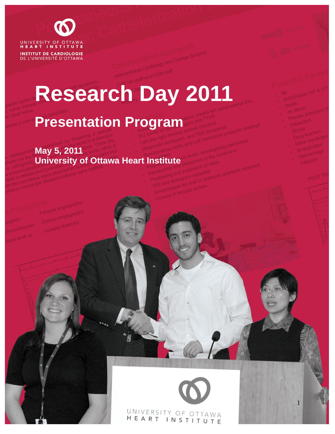

**INSTITUT DE CARDIOLOGIE** DE L'UNIVERSITÉ D'OTTAWA

# **Research Day 2011**

## **Presentation Program**

**May 5, 2011**

### **University of Ottawa Heart Institute**

UNIVERSITY OF OTTAWA HEART INSTITUTE

1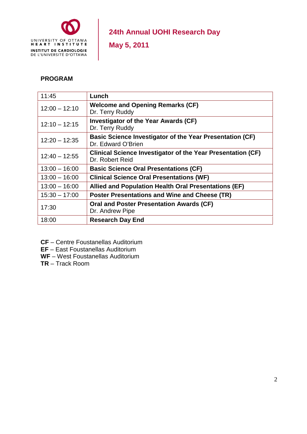

**May 5, 2011** 

#### **PROGRAM**

| 11:45           | Lunch                                                                                 |
|-----------------|---------------------------------------------------------------------------------------|
| $12:00 - 12:10$ | <b>Welcome and Opening Remarks (CF)</b><br>Dr. Terry Ruddy                            |
| $12:10 - 12:15$ | <b>Investigator of the Year Awards (CF)</b><br>Dr. Terry Ruddy                        |
| $12:20 - 12:35$ | <b>Basic Science Investigator of the Year Presentation (CF)</b><br>Dr. Edward O'Brien |
| $12:40 - 12:55$ | <b>Clinical Science Investigator of the Year Presentation (CF)</b><br>Dr. Robert Reid |
| $13:00 - 16:00$ | <b>Basic Science Oral Presentations (CF)</b>                                          |
| $13:00 - 16:00$ | <b>Clinical Science Oral Presentations (WF)</b>                                       |
| $13:00 - 16:00$ | Allied and Population Health Oral Presentations (EF)                                  |
| $15:30 - 17:00$ | Poster Presentations and Wine and Cheese (TR)                                         |
| 17:30           | <b>Oral and Poster Presentation Awards (CF)</b><br>Dr. Andrew Pipe                    |
| 18:00           | <b>Research Day End</b>                                                               |

- **CF** Centre Foustanellas Auditorium
- **EF** East Foustanellas Auditorium
- **WF** West Foustanellas Auditorium
- **TR** Track Room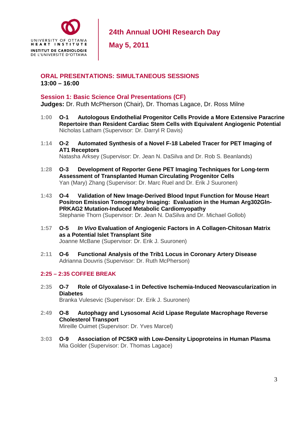

**May 5, 2011** 

#### **ORAL PRESENTATIONS: SIMULTANEOUS SESSIONS 13:00 – 16:00**

#### **Session 1: Basic Science Oral Presentations (CF)**

**Judges:** Dr. Ruth McPherson (Chair), Dr. Thomas Lagace, Dr. Ross Milne

- **1:00 O-1 Autologous Endothelial Progenitor Cells Provide a More Extensive Paracrine Repertoire than Resident Cardiac Stem Cells with Equivalent Angiogenic Potential**  Nicholas Latham (Supervisor: Dr. Darryl R Davis)
- **1:14 O-2 Automated Synthesis of a Novel F-18 Labeled Tracer for PET Imaging of AT1 Receptors**  Natasha Arksey (Supervisor: Dr. Jean N. DaSilva and Dr. Rob S. Beanlands)
- **1:28 O-3 Development of Reporter Gene PET Imaging Techniques for Long-term Assessment of Transplanted Human Circulating Progenitor Cells**  Yan (Mary) Zhang (Supervisor: Dr. Marc Ruel and Dr. Erik J Suuronen)
- **1:43 O-4 Validation of New Image-Derived Blood Input Function for Mouse Heart Positron Emission Tomography Imaging: Evaluation in the Human Arg302Gln-PRKAG2 Mutation-Induced Metabolic Cardiomyopathy**  Stephanie Thorn (Supervisor: Dr. Jean N. DaSilva and Dr. Michael Gollob)
- **1:57 O-5** *In Vivo* **Evaluation of Angiogenic Factors in A Collagen-Chitosan Matrix as a Potential Islet Transplant Site**  Joanne McBane (Supervisor: Dr. Erik J. Suuronen)
- **2:11 O-6 Functional Analysis of the Trib1 Locus in Coronary Artery Disease**  Adrianna Douvris (Supervisor: Dr. Ruth McPherson)

#### **2:25 – 2:35 COFFEE BREAK**

- **2:35 O-7 Role of Glyoxalase-1 in Defective Ischemia-Induced Neovascularization in Diabetes**  Branka Vulesevic (Supervisor: Dr. Erik J. Suuronen)
- **2:49 O-8 Autophagy and Lysosomal Acid Lipase Regulate Macrophage Reverse Cholesterol Transport**  Mireille Ouimet (Supervisor: Dr. Yves Marcel)
- **3:03 O-9 Association of PCSK9 with Low-Density Lipoproteins in Human Plasma**  Mia Golder (Supervisor: Dr. Thomas Lagace)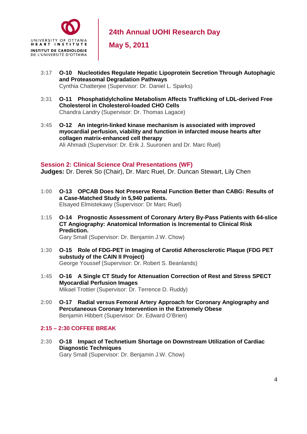

**May 5, 2011** 

- **3:17 O-10 Nucleotides Regulate Hepatic Lipoprotein Secretion Through Autophagic and Proteasomal Degradation Pathways**  Cynthia Chatterjee (Supervisor: Dr. Daniel L. Sparks)
- **3:31 O-11 Phosphatidylcholine Metabolism Affects Trafficking of LDL-derived Free Cholesterol in Cholesterol-loaded CHO Cells**  Chandra Landry (Supervisor: Dr. Thomas Lagace)
- **3:45 O-12 An integrin-linked kinase mechanism is associated with improved myocardial perfusion, viability and function in infarcted mouse hearts after collagen matrix-enhanced cell therapy**  Ali Ahmadi (Supervisor: Dr. Erik J. Suuronen and Dr. Marc Ruel)

#### **Session 2: Clinical Science Oral Presentations (WF)**

**Judges:** Dr. Derek So (Chair), Dr. Marc Ruel, Dr. Duncan Stewart, Lily Chen

- **1:00 O-13 OPCAB Does Not Preserve Renal Function Better than CABG: Results of a Case-Matched Study in 5,940 patients.**  Elsayed Elmistekawy (Supervisor: Dr Marc Ruel)
- **1:15 O-14 Prognostic Assessment of Coronary Artery By-Pass Patients with 64-slice CT Angiography: Anatomical Information is Incremental to Clinical Risk Prediction.**  Gary Small (Supervisor: Dr. Benjamin J.W. Chow)
- **1:30 O-15 Role of FDG-PET in Imaging of Carotid Atherosclerotic Plaque (FDG PET substudy of the CAIN II Project)**  George Youssef (Supervisor: Dr. Robert S. Beanlands)
- **1:45 O-16 A Single CT Study for Attenuation Correction of Rest and Stress SPECT Myocardial Perfusion Images**  Mikael Trottier (Supervisor: Dr. Terrence D. Ruddy)
- **2:00 O-17 Radial versus Femoral Artery Approach for Coronary Angiography and Percutaneous Coronary Intervention in the Extremely Obese**  Benjamin Hibbert (Supervisor: Dr. Edward O'Brien)

#### **2:15 – 2:30 COFFEE BREAK**

**2:30 O-18 Impact of Technetium Shortage on Downstream Utilization of Cardiac Diagnostic Techniques**  Gary Small (Supervisor: Dr. Benjamin J.W. Chow)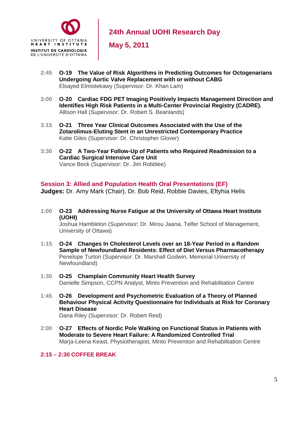

**May 5, 2011** 

- **2:45 O-19 The Value of Risk Algorithms in Predicting Outcomes for Octogenarians Undergoing Aortic Valve Replacement with or without CABG**  Elsayed Elmistekawy (Supervisor: Dr. Khan Lam)
- **3:00 O-20 Cardiac FDG PET Imaging Positively Impacts Management Direction and Identifies High Risk Patients in a Multi-Center Provincial Registry (CADRE).**  Allison Hall (Supervisor: Dr. Robert S. Beanlands)
- **3:15 O-21 Three Year Clinical Outcomes Associated with the Use of the Zotarolimus-Eluting Stent in an Unrestricted Contemporary Practice**  Katie Giles (Supervisor: Dr. Christopher Glover)
- **3:30 O-22 A Two-Year Follow-Up of Patients who Required Readmission to a Cardiac Surgical Intensive Care Unit** Vance Beck (Supervisor: Dr. Jim Robblee)

#### **Session 3: Allied and Population Health Oral Presentations (EF)**

**Judges:** Dr. Amy Mark (Chair), Dr. Bob Reid, Robbie Davies, Eftyhia Helis

**1:00 O-23 Addressing Nurse Fatigue at the University of Ottawa Heart Institute (UOHI)** 

Joshua Hambleton (Supervisor: Dr. Mirou Jaana, Telfer School of Management, University of Ottawa)

- **1:15 O-24 Changes In Cholesterol Levels over an 18-Year Period in a Random Sample of Newfoundland Residents: Effect of Diet Versus Pharmacotherapy**  Penelope Turton (Supervisor: Dr. Marshall Godwin, Memorial University of Newfoundland)
- **1:30 O-25 Champlain Community Heart Health Survey**  Danielle Simpson, CCPN Analyst, Minto Prevention and Rehabilitation Centre
- **1:45 O-26 Development and Psychometric Evaluation of a Theory of Planned Behaviour Physical Activity Questionnaire for Individuals at Risk for Coronary Heart Disease**

Dana Riley (Supervisor: Dr. Robert Reid)

**2:00 O-27 Effects of Nordic Pole Walking on Functional Status in Patients with Moderate to Severe Heart Failure: A Randomized Controlled Trial**  Marja-Leena Keast, Physiotherapist, Minto Prevention and Rehabilitation Centre

**2:15 – 2:30 COFFEE BREAK**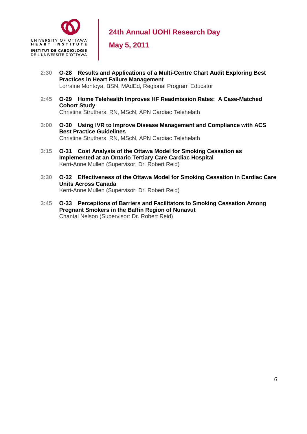

**May 5, 2011** 

- **2:30 O-28 Results and Applications of a Multi-Centre Chart Audit Exploring Best Practices in Heart Failure Management**  Lorraine Montoya, BSN, MAdEd, Regional Program Educator
- **2:45 O-29 Home Telehealth Improves HF Readmission Rates: A Case-Matched Cohort Study**  Christine Struthers, RN, MScN, APN Cardiac Telehelath
- **3:00 O-30 Using IVR to Improve Disease Management and Compliance with ACS Best Practice Guidelines**  Christine Struthers, RN, MScN, APN Cardiac Telehelath
- **3:15 O-31 Cost Analysis of the Ottawa Model for Smoking Cessation as Implemented at an Ontario Tertiary Care Cardiac Hospital**  Kerri-Anne Mullen (Supervisor: Dr. Robert Reid)
- **3:30 O-32 Effectiveness of the Ottawa Model for Smoking Cessation in Cardiac Care Units Across Canada**  Kerri-Anne Mullen (Supervisor: Dr. Robert Reid)
- **3:45 O-33 Perceptions of Barriers and Facilitators to Smoking Cessation Among Pregnant Smokers in the Baffin Region of Nunavut** Chantal Nelson (Supervisor: Dr. Robert Reid)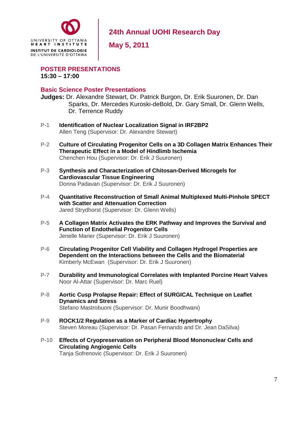

**May 5, 2011** 

**POSTER PRESENTATIONS 15:30 – 17:00** 

#### **Basic Science Poster Presentations**

**Judges:** Dr. Alexandre Stewart, Dr. Patrick Burgon, Dr. Erik Suuronen, Dr. Dan Sparks, Dr. Mercedes Kuroski-deBold, Dr. Gary Small, Dr. Glenn Wells, Dr. Terrence Ruddy

- **P-1 Identification of Nuclear Localization Signal in IRF2BP2**  Allen Teng (Supervisor: Dr. Alexandre Stewart)
- **P-2 Culture of Circulating Progenitor Cells on a 3D Collagen Matrix Enhances Their Therapeutic Effect in a Model of Hindlimb Ischemia**  Chenchen Hou (Supervisor: Dr. Erik J Suuronen)
- **P-3 Synthesis and Characterization of Chitosan-Derived Microgels for Cardiovascular Tissue Engineering**  Donna Padavan (Supervisor: Dr. Erik J Suuronen)
- **P-4 Quantitative Reconstruction of Small Animal Multiplexed Multi-Pinhole SPECT with Scatter and Attenuation Correction**  Jared Strydhorst (Supervisor: Dr. Glenn Wells)
- **P-5 A Collagen Matrix Activates the ERK Pathway and Improves the Survival and Function of Endothelial Progenitor Cells**  Jenelle Marier (Supervisor: Dr. Erik J Suuronen)
- **P-6 Circulating Progenitor Cell Viability and Collagen Hydrogel Properties are Dependent on the Interactions between the Cells and the Biomaterial**  Kimberly McEwan (Supervisor: Dr. Erik J Suuronen)
- **P-7 Durability and Immunological Correlates with Implanted Porcine Heart Valves**  Noor Al-Attar (Supervisor: Dr. Marc Ruel)
- **P-8 Aortic Cusp Prolapse Repair: Effect of SURGICAL Technique on Leaflet Dynamics and Stress**  Stefano Mastrobuoni (Supervisor: Dr. Munir Boodhwani)
- **P-9 ROCK1/2 Regulation as a Marker of Cardiac Hypertrophy**  Steven Moreau (Supervisor: Dr. Pasan Fernando and Dr. Jean DaSilva)
- **P-10 Effects of Cryopreservation on Peripheral Blood Mononuclear Cells and Circulating Angiogenic Cells**  Tanja Sofrenovic (Supervisor: Dr. Erik J Suuronen)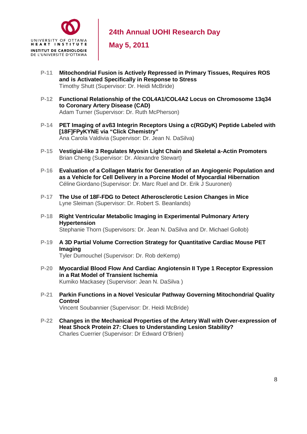

**May 5, 2011** 

- **P-11 Mitochondrial Fusion is Actively Repressed in Primary Tissues, Requires ROS and is Activated Specifically in Response to Stress**  Timothy Shutt (Supervisor: Dr. Heidi McBride)
- **P-12 Functional Relationship of the COL4A1/COL4A2 Locus on Chromosome 13q34 to Coronary Artery Disease (CAD)**  Adam Turner (Supervisor: Dr. Ruth McPherson)
- **P-14 PET Imaging of avß3 Integrin Receptors Using a c(RGDyK) Peptide Labeled with [18F]FPyKYNE via "Click Chemistry"**  Ana Carola Valdivia (Supervisor: Dr. Jean N. DaSilva)
- **P-15 Vestigial-like 3 Regulates Myosin Light Chain and Skeletal a-Actin Promoters**  Brian Cheng (Supervisor: Dr. Alexandre Stewart)
- **P-16 Evaluation of a Collagen Matrix for Generation of an Angiogenic Population and as a Vehicle for Cell Delivery in a Porcine Model of Myocardial Hibernation**  Céline Giordano (Supervisor: Dr. Marc Ruel and Dr. Erik J Suuronen)
- **P-17 The Use of 18F-FDG to Detect Atherosclerotic Lesion Changes in Mice**  Lyne Sleiman (Supervisor: Dr. Robert S. Beanlands)
- **P-18 Right Ventricular Metabolic Imaging in Experimental Pulmonary Artery Hypertension**  Stephanie Thorn (Supervisors: Dr. Jean N. DaSilva and Dr. Michael Gollob)
- **P-19 A 3D Partial Volume Correction Strategy for Quantitative Cardiac Mouse PET Imaging**  Tyler Dumouchel (Supervisor: Dr. Rob deKemp)
- **P-20 Myocardial Blood Flow And Cardiac Angiotensin II Type 1 Receptor Expression in a Rat Model of Transient Ischemia**  Kumiko Mackasey (Supervisor: Jean N. DaSilva )
- **P-21 Parkin Functions in a Novel Vesicular Pathway Governing Mitochondrial Quality Control**  Vincent Soubannier (Supervisor: Dr. Heidi McBride)
- **P-22 Changes in the Mechanical Properties of the Artery Wall with Over-expression of Heat Shock Protein 27: Clues to Understanding Lesion Stability?**  Charles Cuerrier (Supervisor: Dr Edward O'Brien)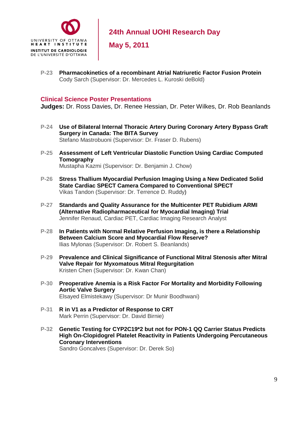

**May 5, 2011** 

**P-23 Pharmacokinetics of a recombinant Atrial Natriuretic Factor Fusion Protein**  Cody Sarch (Supervisor: Dr. Mercedes L. Kuroski deBold)

#### **Clinical Science Poster Presentations**

**Judges:** Dr. Ross Davies, Dr. Renee Hessian, Dr. Peter Wilkes, Dr. Rob Beanlands

- **P-24 Use of Bilateral Internal Thoracic Artery During Coronary Artery Bypass Graft Surgery in Canada: The BITA Survey**  Stefano Mastrobuoni (Supervisor: Dr. Fraser D. Rubens)
- **P-25 Assessment of Left Ventricular Diastolic Function Using Cardiac Computed Tomography**  Mustapha Kazmi (Supervisor: Dr. Benjamin J. Chow)
- **P-26 Stress Thallium Myocardial Perfusion Imaging Using a New Dedicated Solid State Cardiac SPECT Camera Compared to Conventional SPECT**  Vikas Tandon (Supervisor: Dr. Terrence D. Ruddy)
- **P-27 Standards and Quality Assurance for the Multicenter PET Rubidium ARMI (Alternative Radiopharmaceutical for Myocardial Imaging) Trial**  Jennifer Renaud, Cardiac PET, Cardiac Imaging Research Analyst
- **P-28 In Patients with Normal Relative Perfusion Imaging, is there a Relationship Between Calcium Score and Myocardial Flow Reserve?**  Ilias Mylonas (Supervisor: Dr. Robert S. Beanlands)
- **P-29 Prevalence and Clinical Significance of Functional Mitral Stenosis after Mitral Valve Repair for Myxomatous Mitral Regurgitation**  Kristen Chen (Supervisor: Dr. Kwan Chan)
- **P-30 Preoperative Anemia is a Risk Factor For Mortality and Morbidity Following Aortic Valve Surgery**  Elsayed Elmistekawy (Supervisor: Dr Munir Boodhwani)
- **P-31 R in V1 as a Predictor of Response to CRT**  Mark Perrin (Supervisor: Dr. David Birnie)
- **P-32 Genetic Testing for CYP2C19\*2 but not for PON-1 QQ Carrier Status Predicts High On-Clopidogrel Platelet Reactivity in Patients Undergoing Percutaneous Coronary Interventions** Sandro Goncalves (Supervisor: Dr. Derek So)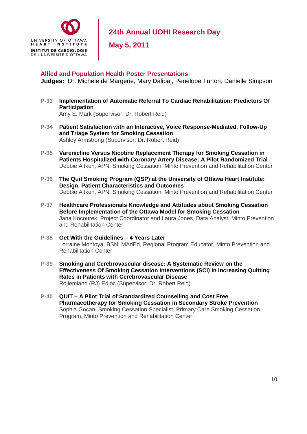

**May 5, 2011** 

#### **Allied and Population Health Poster Presentations**

**Judges:** Dr. Michele de Margerie, Mary Dalipaj, Penelope Turton, Danielle Simpson

**P-33 Implementation of Automatic Referral To Cardiac Rehabilitation: Predictors Of Participation** 

Amy E. Mark (Supervisor: Dr. Robert Reid)

- **P-34 Patient Satisfaction with an Interactive, Voice Response-Mediated, Follow-Up and Triage System for Smoking Cessation**  Ashley Armstrong (Supervisor: Dr. Robert Reid)
- **P-35 Varenicline Versus Nicotine Replacement Therapy for Smoking Cessation in Patients Hospitalized with Coronary Artery Disease: A Pilot Randomized Trial**  Debbie Aitken, APN, Smoking Cessation, Minto Prevention and Rehabilitation Center
- **P-36 The Quit Smoking Program (QSP) at the University of Ottawa Heart Institute: Design, Patient Characteristics and Outcomes**  Debbie Aitken, APN, Smoking Cessation, Minto Prevention and Rehabilitation Center
- **P-37 Healthcare Professionals Knowledge and Attitudes about Smoking Cessation Before Implementation of the Ottawa Model for Smoking Cessation**  Jana Kocourek, Project Coordinator and Laura Jones, Data Analyst, Minto Prevention and Rehabilitation Center
- **P-38 Get With the Guidelines 4 Years Later**  Lorraine Montoya, BSN, MAdEd, Regional Program Educator, Minto Prevention and Rehabilitation Center
- **P-39 Smoking and Cerebrovascular disease: A Systematic Review on the Effectiveness Of Smoking Cessation Interventions (SCI) in Increasing Quitting Rates in Patients with Cerebrovascular Disease**  Rojiemiahd (RJ) Edjoc (Supervisor: Dr. Robert Reid)
- **P-40 QUIT A Pilot Trial of Standardized Counselling and Cost Free Pharmacotherapy for Smoking Cessation in Secondary Stroke Prevention**  Sophia Gocan, Smoking Cessation Specialist, Primary Care Smoking Cessation Program, Minto Prevention and Rehabilitation Center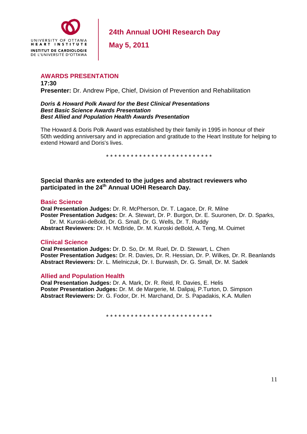

**May 5, 2011** 

#### **AWARDS PRESENTATION**

**17:30 Presenter:** Dr. Andrew Pipe, Chief, Division of Prevention and Rehabilitation

*Doris & Howard Polk Award for the Best Clinical Presentations Best Basic Science Awards Presentation Best Allied and Population Health Awards Presentation* 

The Howard & Doris Polk Award was established by their family in 1995 in honour of their 50th wedding anniversary and in appreciation and gratitude to the Heart Institute for helping to extend Howard and Doris's lives.

\* \* \* \* \* \* \* \* \* \* \* \* \* \* \* \* \* \* \* \* \* \* \* \* \* \*

#### **Special thanks are extended to the judges and abstract reviewers who participated in the 24th Annual UOHI Research Day.**

#### **Basic Science**

**Oral Presentation Judges:** Dr. R. McPherson, Dr. T. Lagace, Dr. R. Milne **Poster Presentation Judges:** Dr. A. Stewart, Dr. P. Burgon, Dr. E. Suuronen, Dr. D. Sparks, Dr. M. Kuroski-deBold, Dr. G. Small, Dr. G. Wells, Dr. T. Ruddy

**Abstract Reviewers:** Dr. H. McBride, Dr. M. Kuroski deBold, A. Teng, M. Ouimet

#### **Clinical Science**

**Oral Presentation Judges:** Dr. D. So, Dr. M. Ruel, Dr. D. Stewart, L. Chen **Poster Presentation Judges:** Dr. R. Davies, Dr. R. Hessian, Dr. P. Wilkes, Dr. R. Beanlands **Abstract Reviewers:** Dr. L. Mielniczuk, Dr. I. Burwash, Dr. G. Small, Dr. M. Sadek

#### **Allied and Population Health**

**Oral Presentation Judges:** Dr. A. Mark, Dr. R. Reid, R. Davies, E. Helis **Poster Presentation Judges:** Dr. M. de Margerie, M. Dalipaj, P.Turton, D. Simpson **Abstract Reviewers:** Dr. G. Fodor, Dr. H. Marchand, Dr. S. Papadakis, K.A. Mullen

\* \* \* \* \* \* \* \* \* \* \* \* \* \* \* \* \* \* \* \* \* \* \* \* \* \*